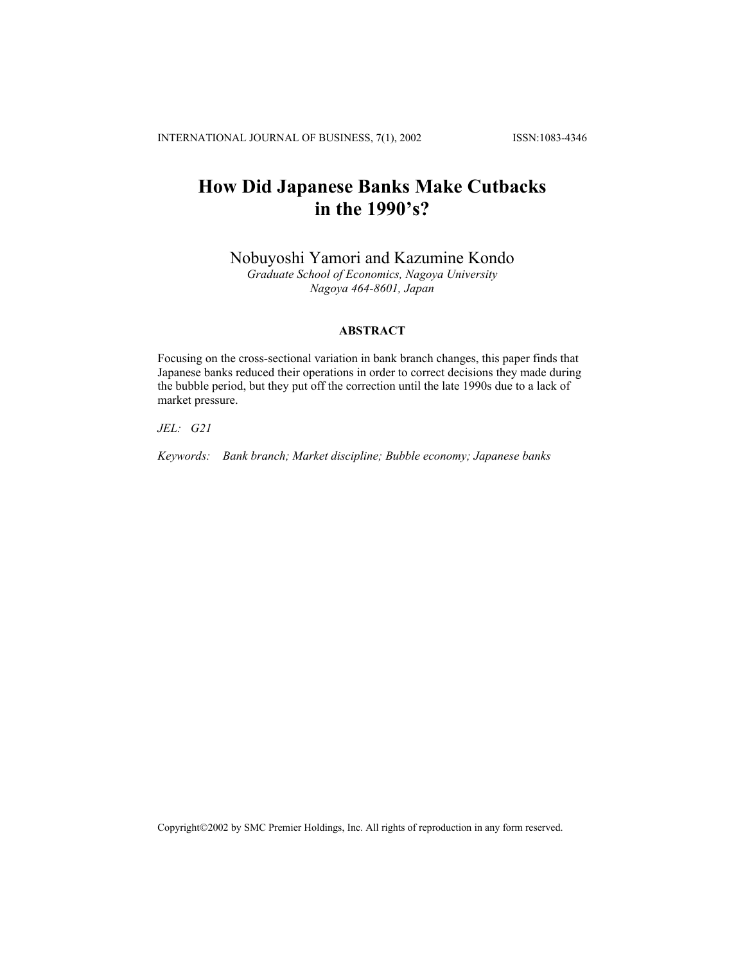# **How Did Japanese Banks Make Cutbacks in the 1990's?**

Nobuyoshi Yamori and Kazumine Kondo

*Graduate School of Economics, Nagoya University Nagoya 464-8601, Japan* 

# **ABSTRACT**

Focusing on the cross-sectional variation in bank branch changes, this paper finds that Japanese banks reduced their operations in order to correct decisions they made during the bubble period, but they put off the correction until the late 1990s due to a lack of market pressure.

*JEL: G21* 

*Keywords: Bank branch; Market discipline; Bubble economy; Japanese banks* 

Copyright©2002 by SMC Premier Holdings, Inc. All rights of reproduction in any form reserved.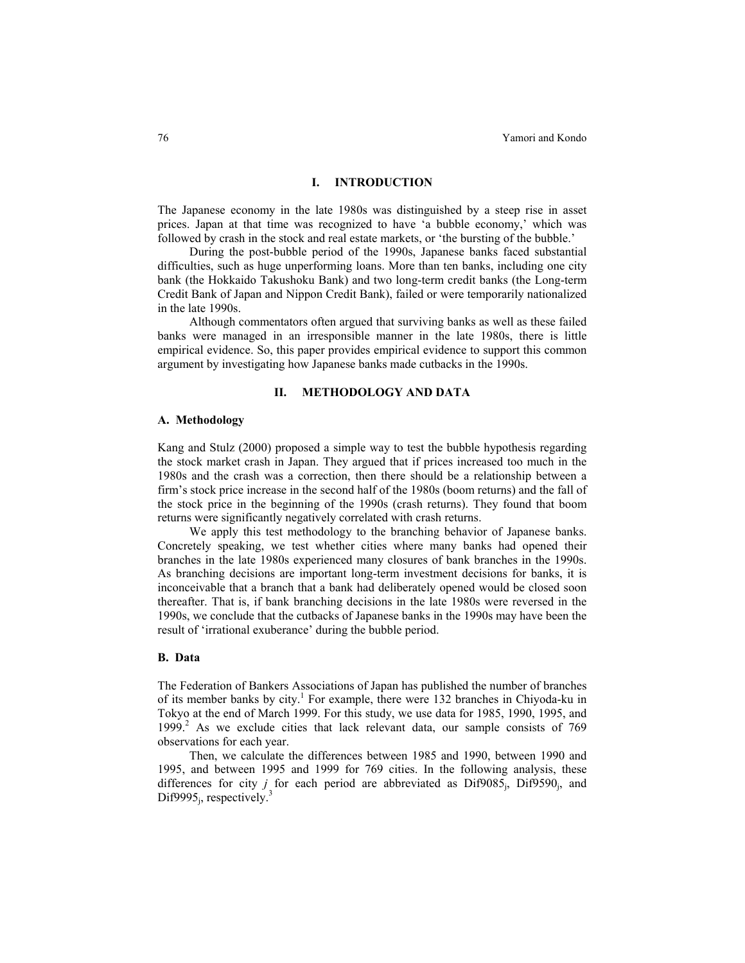#### **I. INTRODUCTION**

The Japanese economy in the late 1980s was distinguished by a steep rise in asset prices. Japan at that time was recognized to have 'a bubble economy,' which was followed by crash in the stock and real estate markets, or 'the bursting of the bubble.'

During the post-bubble period of the 1990s, Japanese banks faced substantial difficulties, such as huge unperforming loans. More than ten banks, including one city bank (the Hokkaido Takushoku Bank) and two long-term credit banks (the Long-term Credit Bank of Japan and Nippon Credit Bank), failed or were temporarily nationalized in the late 1990s.

Although commentators often argued that surviving banks as well as these failed banks were managed in an irresponsible manner in the late 1980s, there is little empirical evidence. So, this paper provides empirical evidence to support this common argument by investigating how Japanese banks made cutbacks in the 1990s.

## **II. METHODOLOGY AND DATA**

## **A. Methodology**

Kang and Stulz (2000) proposed a simple way to test the bubble hypothesis regarding the stock market crash in Japan. They argued that if prices increased too much in the 1980s and the crash was a correction, then there should be a relationship between a firm's stock price increase in the second half of the 1980s (boom returns) and the fall of the stock price in the beginning of the 1990s (crash returns). They found that boom returns were significantly negatively correlated with crash returns.

We apply this test methodology to the branching behavior of Japanese banks. Concretely speaking, we test whether cities where many banks had opened their branches in the late 1980s experienced many closures of bank branches in the 1990s. As branching decisions are important long-term investment decisions for banks, it is inconceivable that a branch that a bank had deliberately opened would be closed soon thereafter. That is, if bank branching decisions in the late 1980s were reversed in the 1990s, we conclude that the cutbacks of Japanese banks in the 1990s may have been the result of 'irrational exuberance' during the bubble period.

#### **B. Data**

The Federation of Bankers Associations of Japan has published the number of branches of its member banks by city.<sup>1</sup> For example, there were 132 branches in Chiyoda-ku in Tokyo at the end of March 1999. For this study, we use data for 1985, 1990, 1995, and 1999.<sup>2</sup> As we exclude cities that lack relevant data, our sample consists of 769 observations for each year.

 Then, we calculate the differences between 1985 and 1990, between 1990 and 1995, and between 1995 and 1999 for 769 cities. In the following analysis, these differences for city *j* for each period are abbreviated as Dif9085<sub>j</sub>, Dif9590<sub>j</sub>, and Dif9995<sub>i</sub>, respectively.<sup>3</sup>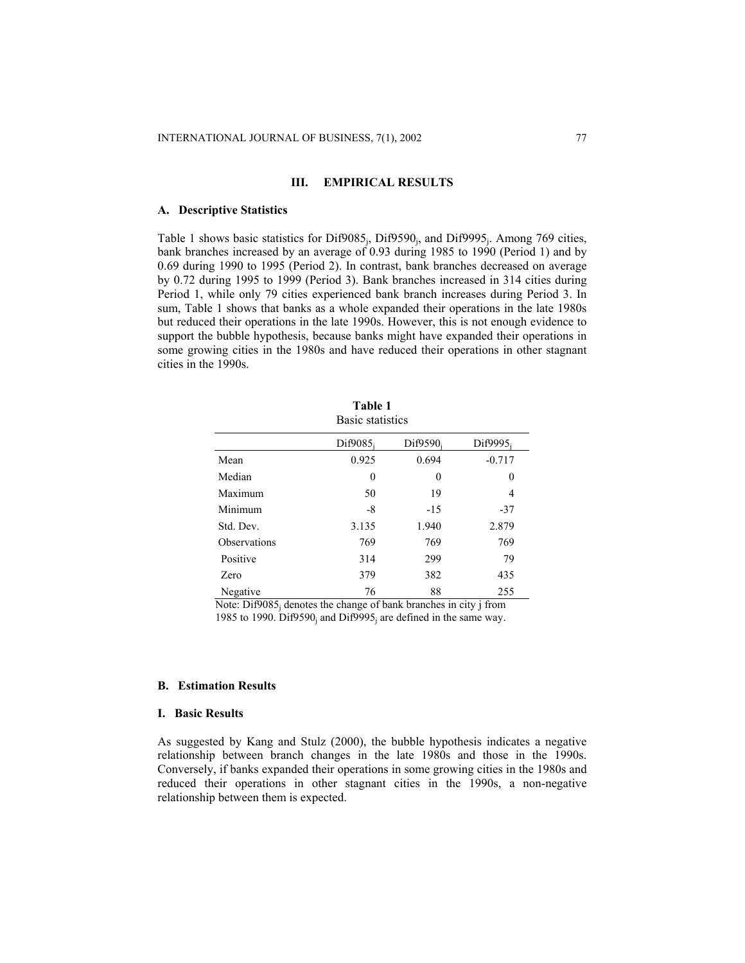# **III. EMPIRICAL RESULTS**

#### **A. Descriptive Statistics**

Table 1 shows basic statistics for Dif $9085<sub>i</sub>$ , Dif $9590<sub>i</sub>$ , and Dif $9995<sub>i</sub>$ . Among 769 cities, bank branches increased by an average of 0.93 during 1985 to 1990 (Period 1) and by 0.69 during 1990 to 1995 (Period 2). In contrast, bank branches decreased on average by 0.72 during 1995 to 1999 (Period 3). Bank branches increased in 314 cities during Period 1, while only 79 cities experienced bank branch increases during Period 3. In sum, Table 1 shows that banks as a whole expanded their operations in the late 1980s but reduced their operations in the late 1990s. However, this is not enough evidence to support the bubble hypothesis, because banks might have expanded their operations in some growing cities in the 1980s and have reduced their operations in other stagnant cities in the 1990s.

|              | Basic statistics        |          |          |
|--------------|-------------------------|----------|----------|
|              | Dif $9085$ <sub>i</sub> | Dif9590; | Dif9995; |
| Mean         | 0.925                   | 0.694    | $-0.717$ |
| Median       | 0                       | 0        | 0        |
| Maximum      | 50                      | 19       | 4        |
| Minimum      | $-8$                    | $-15$    | $-37$    |
| Std. Dev.    | 3.135                   | 1.940    | 2.879    |
| Observations | 769                     | 769      | 769      |
| Positive     | 314                     | 299      | 79       |
| Zero         | 379                     | 382      | 435      |
| Negative     | 76                      | 88       | 255      |

**Table 1**

Note:  $\overline{Di9085}$  denotes the change of bank branches in city j from 1985 to 1990. Dif9590<sub>i</sub> and Dif9995<sub>i</sub> are defined in the same way.

# **B. Estimation Results**

## **I. Basic Results**

As suggested by Kang and Stulz (2000), the bubble hypothesis indicates a negative relationship between branch changes in the late 1980s and those in the 1990s. Conversely, if banks expanded their operations in some growing cities in the 1980s and reduced their operations in other stagnant cities in the 1990s, a non-negative relationship between them is expected.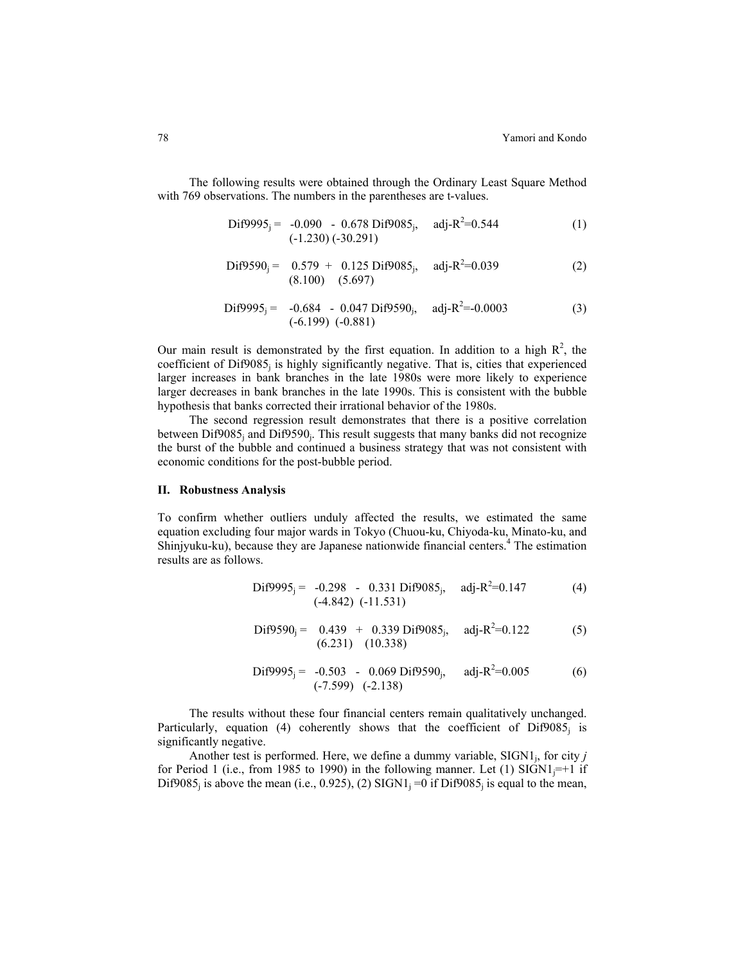The following results were obtained through the Ordinary Least Square Method with 769 observations. The numbers in the parentheses are t-values.

$$
\text{Dif9995}_{j} = -0.090 - 0.678 \text{ Dif9085}_{j}, \quad \text{adj-R}^{2}=0.544 \tag{1}
$$
\n
$$
(-1.230) (-30.291)
$$

$$
\text{Dif9590}_{j} = \begin{array}{cc} 0.579 + 0.125 \text{ Dif9085}_{j}, & \text{adj-R}^{2}=0.039 \\ (8.100) & (5.697) \end{array} \tag{2}
$$

$$
\text{Dif9995}_{j} = -0.684 - 0.047 \text{ Dif9590}_{j}, \quad \text{adj-R}^{2} = 0.0003
$$
\n
$$
(-6.199) (-0.881)
$$
\n(3)

Our main result is demonstrated by the first equation. In addition to a high  $R^2$ , the coefficient of  $Diff9085<sub>i</sub>$  is highly significantly negative. That is, cities that experienced larger increases in bank branches in the late 1980s were more likely to experience larger decreases in bank branches in the late 1990s. This is consistent with the bubble hypothesis that banks corrected their irrational behavior of the 1980s.

 The second regression result demonstrates that there is a positive correlation between  $\text{Di}9085_j$  and  $\text{Di}9590_j$ . This result suggests that many banks did not recognize the burst of the bubble and continued a business strategy that was not consistent with economic conditions for the post-bubble period.

#### **II. Robustness Analysis**

To confirm whether outliers unduly affected the results, we estimated the same equation excluding four major wards in Tokyo (Chuou-ku, Chiyoda-ku, Minato-ku, and Shinjyuku-ku), because they are Japanese nationwide financial centers.<sup>4</sup> The estimation results are as follows.

$$
\text{Dif9995}_{j} = -0.298 - 0.331 \text{ Dif9085}_{j}, \quad \text{adj-R}^{2}=0.147 \tag{4}
$$
\n
$$
(-4.842) (-11.531)
$$

$$
\text{Dif9590}_{j} = \begin{array}{cc} 0.439 & + & 0.339 \text{ Dif9085}_{j}, & \text{adj-R}^{2}=0.122\\ (6.231) & (10.338) \end{array} \tag{5}
$$

$$
\text{Dif9995}_{j} = -0.503 - 0.069 \text{ Dif9590}_{j}, \quad \text{adj-R}^{2}=0.005 \tag{6}
$$
  

$$
(-7.599) (-2.138)
$$

 The results without these four financial centers remain qualitatively unchanged. Particularly, equation (4) coherently shows that the coefficient of  $\text{Diff9085}_i$  is significantly negative.

Another test is performed. Here, we define a dummy variable, SIGN1<sub>i</sub>, for city *j* for Period 1 (i.e., from 1985 to 1990) in the following manner. Let (1)  $\text{SIGN1}_{i} = +1$  if Dif9085<sub>i</sub> is above the mean (i.e., 0.925), (2) SIGN1<sub>i</sub> =0 if Dif9085<sub>i</sub> is equal to the mean,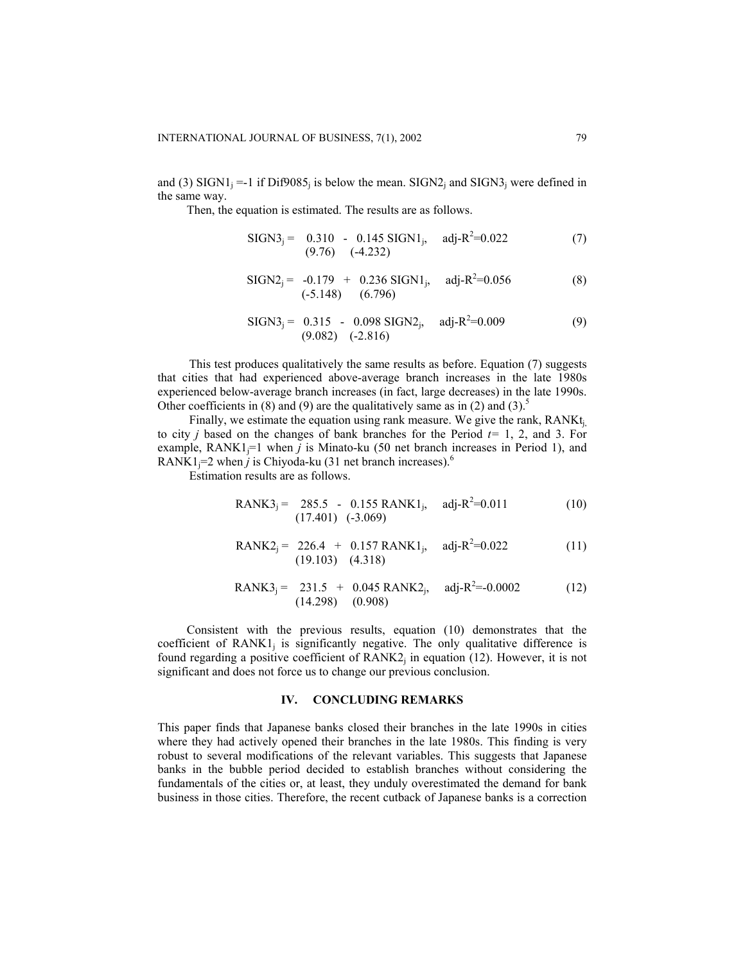and (3) SIGN1<sub>i</sub> =-1 if Dif9085<sub>i</sub> is below the mean. SIGN2<sub>i</sub> and SIGN3<sub>i</sub> were defined in the same way.

Then, the equation is estimated. The results are as follows.

$$
SIGN3j = 0.310 - 0.145 SIGN1j, adj-R2=0.022
$$
 (7)  
(9.76) (-4.232)

$$
SIGN2j = -0.179 + 0.236 SIGN1j, adj-R2=0.056
$$
 (8)  
(-5.148) (6.796)

$$
SIGN3j = 0.315 - 0.098 SIGN2j, adj-R2=0.009
$$
 (9)  
(9.082) (-2.816)

This test produces qualitatively the same results as before. Equation (7) suggests that cities that had experienced above-average branch increases in the late 1980s experienced below-average branch increases (in fact, large decreases) in the late 1990s. Other coefficients in (8) and (9) are the qualitatively same as in (2) and (3).<sup>5</sup>

Finally, we estimate the equation using rank measure. We give the rank,  $RANK_{i}$ to city *j* based on the changes of bank branches for the Period *t=* 1, 2, and 3. For example,  $RANK1_{i}=1$  when *j* is Minato-ku (50 net branch increases in Period 1), and RANK1<sub>j</sub>=2 when *j* is Chiyoda-ku (31 net branch increases).<sup>6</sup>

Estimation results are as follows.

$$
RANK3j = 285.5 - 0.155 RANK1j, adj-R2=0.011
$$
 (10)  
(17.401) (-3.069)

$$
RANK2j = 226.4 + 0.157 RANK1j, adj-R2=0.022
$$
 (11)  
(19.103) (4.318)

$$
RANK3j = 231.5 + 0.045 RANK2j, adj-R2=-0.0002
$$
 (12)  
(14.298) (0.908)

Consistent with the previous results, equation (10) demonstrates that the coefficient of  $RANK1_i$  is significantly negative. The only qualitative difference is found regarding a positive coefficient of  $RANK2$  in equation (12). However, it is not significant and does not force us to change our previous conclusion.

#### **IV. CONCLUDING REMARKS**

This paper finds that Japanese banks closed their branches in the late 1990s in cities where they had actively opened their branches in the late 1980s. This finding is very robust to several modifications of the relevant variables. This suggests that Japanese banks in the bubble period decided to establish branches without considering the fundamentals of the cities or, at least, they unduly overestimated the demand for bank business in those cities. Therefore, the recent cutback of Japanese banks is a correction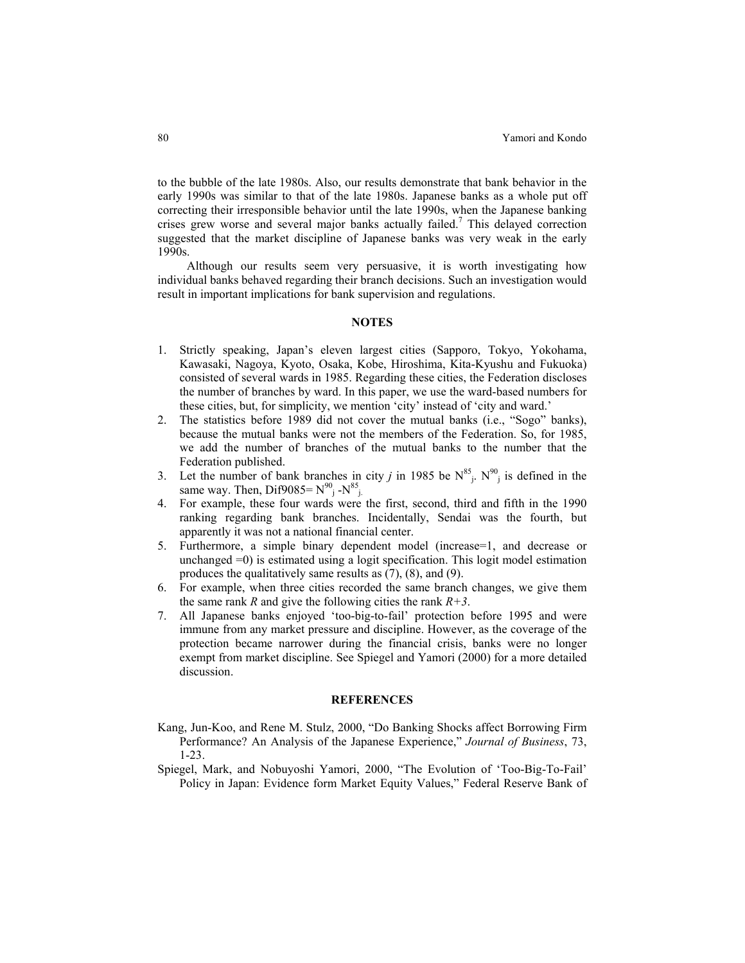to the bubble of the late 1980s. Also, our results demonstrate that bank behavior in the early 1990s was similar to that of the late 1980s. Japanese banks as a whole put off correcting their irresponsible behavior until the late 1990s, when the Japanese banking crises grew worse and several major banks actually failed.<sup>7</sup> This delayed correction suggested that the market discipline of Japanese banks was very weak in the early 1990s.

 Although our results seem very persuasive, it is worth investigating how individual banks behaved regarding their branch decisions. Such an investigation would result in important implications for bank supervision and regulations.

## **NOTES**

- 1. Strictly speaking, Japan's eleven largest cities (Sapporo, Tokyo, Yokohama, Kawasaki, Nagoya, Kyoto, Osaka, Kobe, Hiroshima, Kita-Kyushu and Fukuoka) consisted of several wards in 1985. Regarding these cities, the Federation discloses the number of branches by ward. In this paper, we use the ward-based numbers for these cities, but, for simplicity, we mention 'city' instead of 'city and ward.'
- 2. The statistics before 1989 did not cover the mutual banks (i.e., "Sogo" banks), because the mutual banks were not the members of the Federation. So, for 1985, we add the number of branches of the mutual banks to the number that the Federation published.
- 3. Let the number of bank branches in city *j* in 1985 be  $N^{85}$ .  $N^{90}$  is defined in the same way. Then, Dif $9085 = N^{90}$ <sub>j</sub> - $N^{85}$ <sub>j</sub>.
- 4. For example, these four wards were the first, second, third and fifth in the 1990 ranking regarding bank branches. Incidentally, Sendai was the fourth, but apparently it was not a national financial center.
- 5. Furthermore, a simple binary dependent model (increase=1, and decrease or unchanged =0) is estimated using a logit specification. This logit model estimation produces the qualitatively same results as (7), (8), and (9).
- 6. For example, when three cities recorded the same branch changes, we give them the same rank *R* and give the following cities the rank  $R+3$ .
- 7. All Japanese banks enjoyed 'too-big-to-fail' protection before 1995 and were immune from any market pressure and discipline. However, as the coverage of the protection became narrower during the financial crisis, banks were no longer exempt from market discipline. See Spiegel and Yamori (2000) for a more detailed discussion.

#### **REFERENCES**

- Kang, Jun-Koo, and Rene M. Stulz, 2000, "Do Banking Shocks affect Borrowing Firm Performance? An Analysis of the Japanese Experience," *Journal of Business*, 73, 1-23.
- Spiegel, Mark, and Nobuyoshi Yamori, 2000, "The Evolution of 'Too-Big-To-Fail' Policy in Japan: Evidence form Market Equity Values," Federal Reserve Bank of